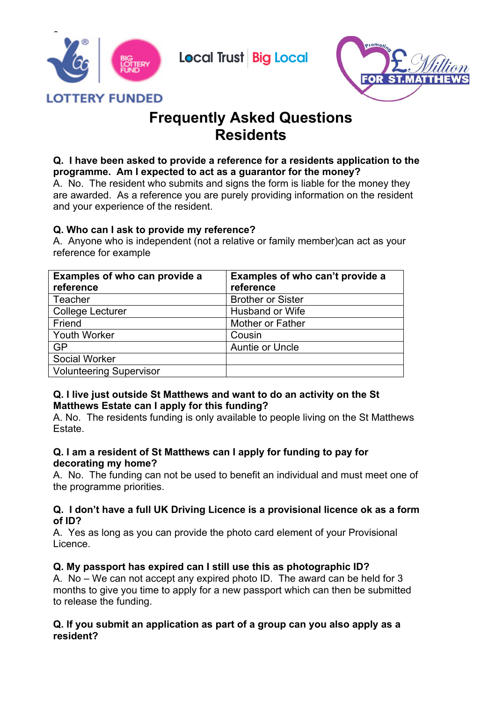

# **Frequently Asked Questions Residents**

**Local Trust Big Local** 

#### **Q. I have been asked to provide a reference for a residents application to the programme. Am I expected to act as a guarantor for the money?**

A. No. The resident who submits and signs the form is liable for the money they are awarded. As a reference you are purely providing information on the resident and your experience of the resident.

## **Q. Who can I ask to provide my reference?**

A. Anyone who is independent (not a relative or family member)can act as your reference for example

| Examples of who can provide a  | Examples of who can't provide a |
|--------------------------------|---------------------------------|
| reference                      | reference                       |
| Teacher                        | <b>Brother or Sister</b>        |
| <b>College Lecturer</b>        | <b>Husband or Wife</b>          |
| Friend                         | Mother or Father                |
| <b>Youth Worker</b>            | Cousin                          |
| <b>GP</b>                      | <b>Auntie or Uncle</b>          |
| Social Worker                  |                                 |
| <b>Volunteering Supervisor</b> |                                 |

## **Q. I live just outside St Matthews and want to do an activity on the St Matthews Estate can I apply for this funding?**

A. No. The residents funding is only available to people living on the St Matthews Estate.

## **Q. I am a resident of St Matthews can I apply for funding to pay for decorating my home?**

A. No. The funding can not be used to benefit an individual and must meet one of the programme priorities.

#### **Q. I don't have a full UK Driving Licence is a provisional licence ok as a form of ID?**

A. Yes as long as you can provide the photo card element of your Provisional Licence.

# **Q. My passport has expired can I still use this as photographic ID?**

A. No – We can not accept any expired photo ID. The award can be held for 3 months to give you time to apply for a new passport which can then be submitted to release the funding.

## **Q. If you submit an application as part of a group can you also apply as a resident?**